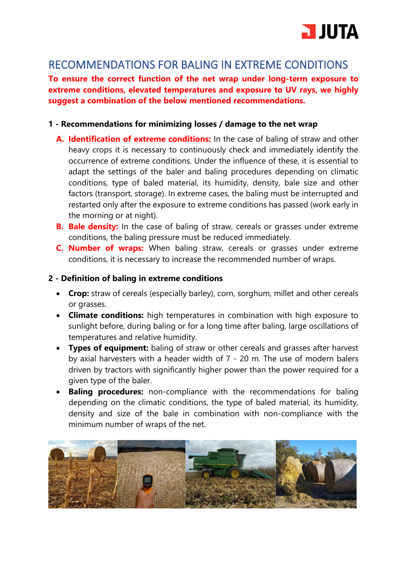

## RECOMMENDATIONS FOR BALING IN EXTREME CONDITIONS

**To ensure the correct function of the net wrap under long-term exposure to extreme conditions, elevated temperatures and exposure to UV rays, we highly suggest a combination of the below mentioned recommendations.**

## **1 - Recommendations for minimizing losses / damage to the net wrap**

- **A. Identification of extreme conditions:** In the case of baling of straw and other heavy crops it is necessary to continuously check and immediately identify the occurrence of extreme conditions. Under the influence of these, it is essential to adapt the settings of the baler and baling procedures depending on climatic conditions, type of baled material, its humidity, density, bale size and other factors (transport, storage). In extreme cases, the baling must be interrupted and restarted only after the exposure to extreme conditions has passed (work early in the morning or at night).
- **B.** Bale density: In the case of baling of straw, cereals or grasses under extreme conditions, the baling pressure must be reduced immediately.
- **C. Number of wraps:** When baling straw, cereals or grasses under extreme conditions, it is necessary to increase the recommended number of wraps.

## **2 - Definition of baling in extreme conditions**

- **Crop:** straw of cereals (especially barley), corn, sorghum, millet and other cereals or grasses.
- **Climate conditions:** high temperatures in combination with high exposure to sunlight before, during baling or for a long time after baling, large oscillations of temperatures and relative humidity.
- **Types of equipment:** baling of straw or other cereals and grasses after harvest by axial harvesters with a header width of 7 - 20 m. The use of modern balers driven by tractors with significantly higher power than the power required for a given type of the baler.
- **Baling procedures:** non-compliance with the recommendations for baling depending on the climatic conditions, the type of baled material, its humidity, density and size of the bale in combination with non-compliance with the minimum number of wraps of the net.